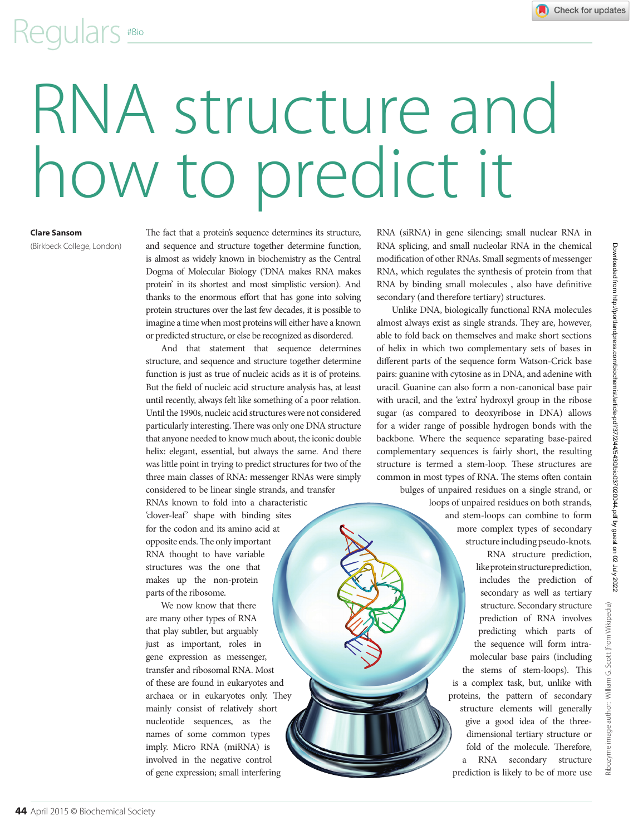### Regulars #Bio

# RNA structure and how to predict it

#### **Clare Sansom**

(Birkbeck College, London)

The fact that a protein's sequence determines its structure, and sequence and structure together determine function, is almost as widely known in biochemistry as the Central Dogma of Molecular Biology ('DNA makes RNA makes protein' in its shortest and most simplistic version). And thanks to the enormous effort that has gone into solving protein structures over the last few decades, it is possible to imagine a time when most proteins will either have a known or predicted structure, or else be recognized as disordered.

And that statement that sequence determines structure, and sequence and structure together determine function is just as true of nucleic acids as it is of proteins. But the field of nucleic acid structure analysis has, at least until recently, always felt like something of a poor relation. Until the 1990s, nucleic acid structures were not considered particularly interesting. There was only one DNA structure that anyone needed to know much about, the iconic double helix: elegant, essential, but always the same. And there was little point in trying to predict structures for two of the three main classes of RNA: messenger RNAs were simply considered to be linear single strands, and transfer

RNAs known to fold into a characteristic 'clover-leaf' shape with binding sites for the codon and its amino acid at opposite ends. The only important RNA thought to have variable structures was the one that makes up the non-protein parts of the ribosome.

We now know that there are many other types of RNA that play subtler, but arguably just as important, roles in gene expression as messenger, transfer and ribosomal RNA. Most of these are found in eukaryotes and archaea or in eukaryotes only. They mainly consist of relatively short nucleotide sequences, as the names of some common types imply. Micro RNA (miRNA) is involved in the negative control of gene expression; small interfering

RNA (siRNA) in gene silencing; small nuclear RNA in RNA splicing, and small nucleolar RNA in the chemical modification of other RNAs. Small segments of messenger RNA, which regulates the synthesis of protein from that RNA by binding small molecules , also have definitive secondary (and therefore tertiary) structures.

Unlike DNA, biologically functional RNA molecules almost always exist as single strands. They are, however, able to fold back on themselves and make short sections of helix in which two complementary sets of bases in different parts of the sequence form Watson-Crick base pairs: guanine with cytosine as in DNA, and adenine with uracil. Guanine can also form a non-canonical base pair with uracil, and the 'extra' hydroxyl group in the ribose sugar (as compared to deoxyribose in DNA) allows for a wider range of possible hydrogen bonds with the backbone. Where the sequence separating base-paired complementary sequences is fairly short, the resulting structure is termed a stem-loop. These structures are common in most types of RNA. The stems often contain bulges of unpaired residues on a single strand, or

> loops of unpaired residues on both strands, and stem-loops can combine to form more complex types of secondary structure including pseudo-knots. RNA structure prediction, like protein structure prediction, includes the prediction of secondary as well as tertiary structure. Secondary structure prediction of RNA involves predicting which parts of the sequence will form intramolecular base pairs (including the stems of stem-loops). This is a complex task, but, unlike with proteins, the pattern of secondary structure elements will generally give a good idea of the threedimensional tertiary structure or fold of the molecule. Therefore, a RNA secondary structure prediction is likely to be of more use

me image author: